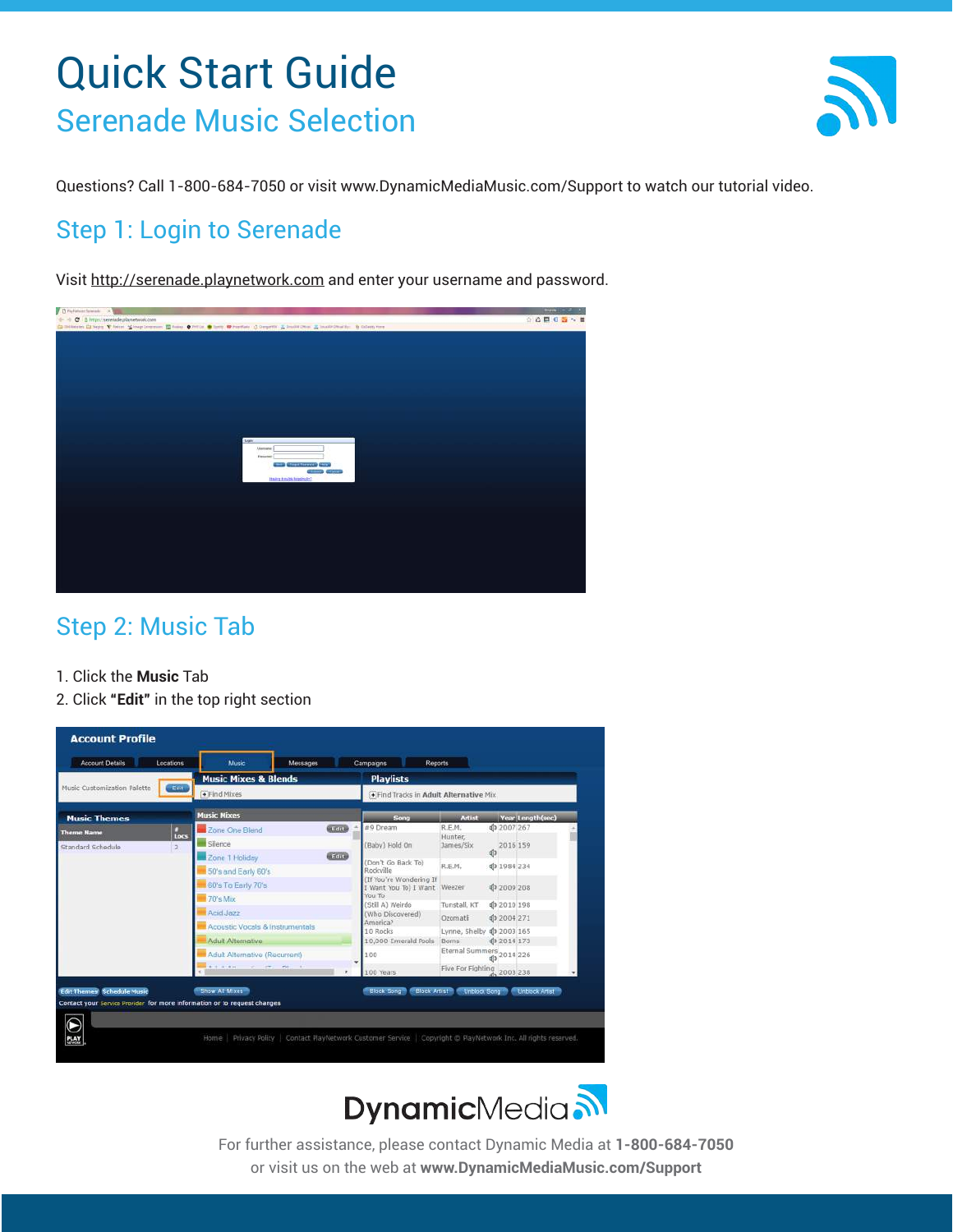# Quick Start Guide Serenade Music Selection



Questions? Call 1-800-684-7050 or visit www.DynamicMediaMusic.com/Support to watch our tutorial video.

## Step 1: Login to Serenade

Visit http://serenade.playnetwork.com and enter your username and password.



### Step 2: Music Tab

- 1. Click the **Music** Tab
- 2. Click **"Edit"** in the top right section





For further assistance, please contact Dynamic Media at **1-800-684-7050** or visit us on the web at **www.DynamicMediaMusic.com/Support**